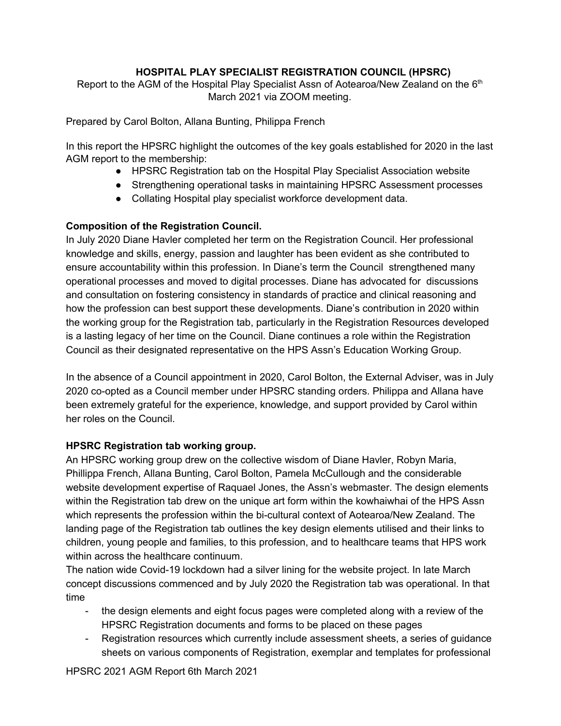# **HOSPITAL PLAY SPECIALIST REGISTRATION COUNCIL (HPSRC)**

Report to the AGM of the Hospital Play Specialist Assn of Aotearoa/New Zealand on the 6<sup>th</sup> March 2021 via ZOOM meeting.

Prepared by Carol Bolton, Allana Bunting, Philippa French

In this report the HPSRC highlight the outcomes of the key goals established for 2020 in the last AGM report to the membership:

- HPSRC Registration tab on the Hospital Play Specialist Association website
- Strengthening operational tasks in maintaining HPSRC Assessment processes
- Collating Hospital play specialist workforce development data.

# **Composition of the Registration Council.**

In July 2020 Diane Havler completed her term on the Registration Council. Her professional knowledge and skills, energy, passion and laughter has been evident as she contributed to ensure accountability within this profession. In Diane's term the Council strengthened many operational processes and moved to digital processes. Diane has advocated for discussions and consultation on fostering consistency in standards of practice and clinical reasoning and how the profession can best support these developments. Diane's contribution in 2020 within the working group for the Registration tab, particularly in the Registration Resources developed is a lasting legacy of her time on the Council. Diane continues a role within the Registration Council as their designated representative on the HPS Assn's Education Working Group.

In the absence of a Council appointment in 2020, Carol Bolton, the External Adviser, was in July 2020 co-opted as a Council member under HPSRC standing orders. Philippa and Allana have been extremely grateful for the experience, knowledge, and support provided by Carol within her roles on the Council.

# **HPSRC Registration tab working group.**

An HPSRC working group drew on the collective wisdom of Diane Havler, Robyn Maria, Phillippa French, Allana Bunting, Carol Bolton, Pamela McCullough and the considerable website development expertise of Raquael Jones, the Assn's webmaster. The design elements within the Registration tab drew on the unique art form within the kowhaiwhai of the HPS Assn which represents the profession within the bi-cultural context of Aotearoa/New Zealand. The landing page of the Registration tab outlines the key design elements utilised and their links to children, young people and families, to this profession, and to healthcare teams that HPS work within across the healthcare continuum.

The nation wide Covid-19 lockdown had a silver lining for the website project. In late March concept discussions commenced and by July 2020 the Registration tab was operational. In that time

- the design elements and eight focus pages were completed along with a review of the HPSRC Registration documents and forms to be placed on these pages
- Registration resources which currently include assessment sheets, a series of guidance sheets on various components of Registration, exemplar and templates for professional

HPSRC 2021 AGM Report 6th March 2021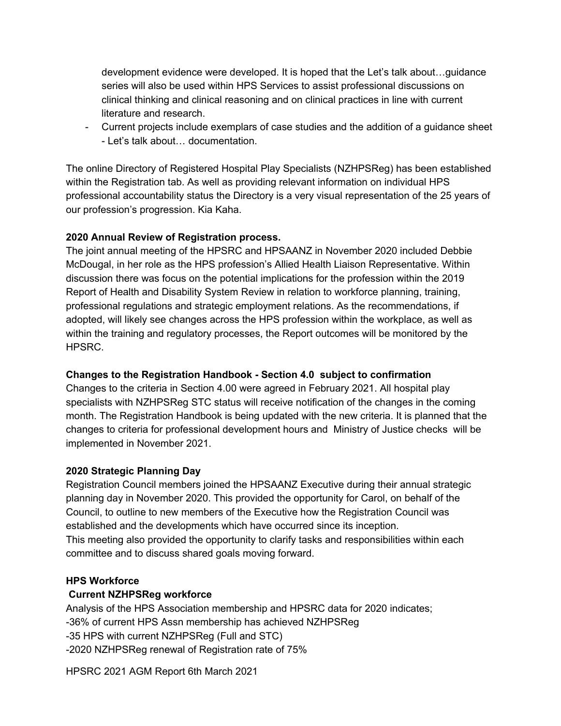development evidence were developed. It is hoped that the Let's talk about…guidance series will also be used within HPS Services to assist professional discussions on clinical thinking and clinical reasoning and on clinical practices in line with current literature and research.

- Current projects include exemplars of case studies and the addition of a guidance sheet - Let's talk about… documentation.

The online Directory of Registered Hospital Play Specialists (NZHPSReg) has been established within the Registration tab. As well as providing relevant information on individual HPS professional accountability status the Directory is a very visual representation of the 25 years of our profession's progression. Kia Kaha.

# **2020 Annual Review of Registration process.**

The joint annual meeting of the HPSRC and HPSAANZ in November 2020 included Debbie McDougal, in her role as the HPS profession's Allied Health Liaison Representative. Within discussion there was focus on the potential implications for the profession within the 2019 Report of Health and Disability System Review in relation to workforce planning, training, professional regulations and strategic employment relations. As the recommendations, if adopted, will likely see changes across the HPS profession within the workplace, as well as within the training and regulatory processes, the Report outcomes will be monitored by the HPSRC.

# **Changes to the Registration Handbook - Section 4.0 subject to confirmation**

Changes to the criteria in Section 4.00 were agreed in February 2021. All hospital play specialists with NZHPSReg STC status will receive notification of the changes in the coming month. The Registration Handbook is being updated with the new criteria. It is planned that the changes to criteria for professional development hours and Ministry of Justice checks will be implemented in November 2021.

# **2020 Strategic Planning Day**

Registration Council members joined the HPSAANZ Executive during their annual strategic planning day in November 2020. This provided the opportunity for Carol, on behalf of the Council, to outline to new members of the Executive how the Registration Council was established and the developments which have occurred since its inception. This meeting also provided the opportunity to clarify tasks and responsibilities within each committee and to discuss shared goals moving forward.

# **HPS Workforce**

# **Current NZHPSReg workforce**

Analysis of the HPS Association membership and HPSRC data for 2020 indicates; -36% of current HPS Assn membership has achieved NZHPSReg -35 HPS with current NZHPSReg (Full and STC) -2020 NZHPSReg renewal of Registration rate of 75%

HPSRC 2021 AGM Report 6th March 2021